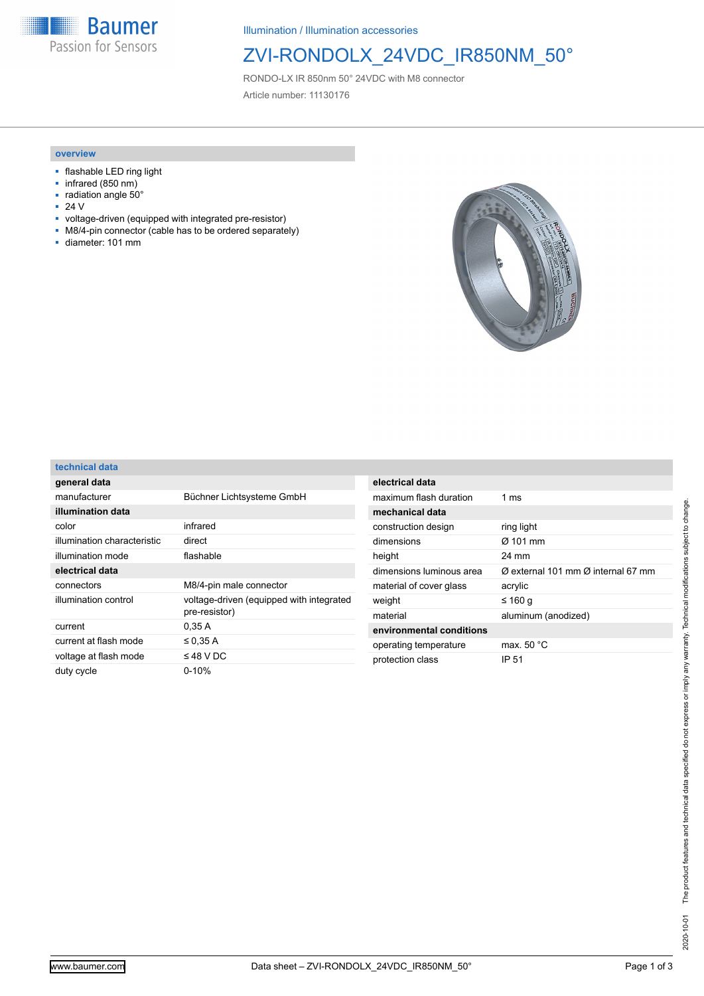**Baumer** Passion for Sensors

Illumination / Illumination accessories

# ZVI-RONDOLX\_24VDC\_IR850NM\_50°

RONDO-LX IR 850nm 50° 24VDC with M8 connector Article number: 11130176

#### **overview**

- flashable LED ring light
- infrared (850 nm)
- $\overline{=}$  radiation angle 50 $^{\circ}$ <br> $\overline{=}$  24 V ■ 24 V
- voltage-driven (equipped with integrated pre-resistor)
- M8/4-pin connector (cable has to be ordered separately)<br>■ diameter: 101 mm
- diameter: 101 mm



#### **technical data**

| general data                |                                                           |
|-----------------------------|-----------------------------------------------------------|
| manufacturer                | Büchner Lichtsysteme GmbH                                 |
| illumination data           |                                                           |
| color                       | infrared                                                  |
| illumination characteristic | direct                                                    |
| illumination mode           | flashable                                                 |
| electrical data             |                                                           |
| connectors                  | M8/4-pin male connector                                   |
| illumination control        | voltage-driven (equipped with integrated<br>pre-resistor) |
| current                     | 0.35 A                                                    |
| current at flash mode       | $\leq$ 0.35 A                                             |
| voltage at flash mode       | $\leq$ 48 V DC                                            |
| duty cycle                  | $0 - 10%$                                                 |
|                             |                                                           |

| electrical data          |                                                            |
|--------------------------|------------------------------------------------------------|
| maximum flash duration   | $1 \text{ ms}$                                             |
| mechanical data          |                                                            |
| construction design      | ring light                                                 |
| dimensions               | $\alpha$ 101 mm                                            |
| height                   | 24 mm                                                      |
| dimensions luminous area | $\varnothing$ external 101 mm $\varnothing$ internal 67 mm |
| material of cover glass  | acrylic                                                    |
| weight                   | ≤ 160 q                                                    |
| material                 | aluminum (anodized)                                        |
| environmental conditions |                                                            |
| operating temperature    | max. 50 °C                                                 |
| protection class         | IP 51                                                      |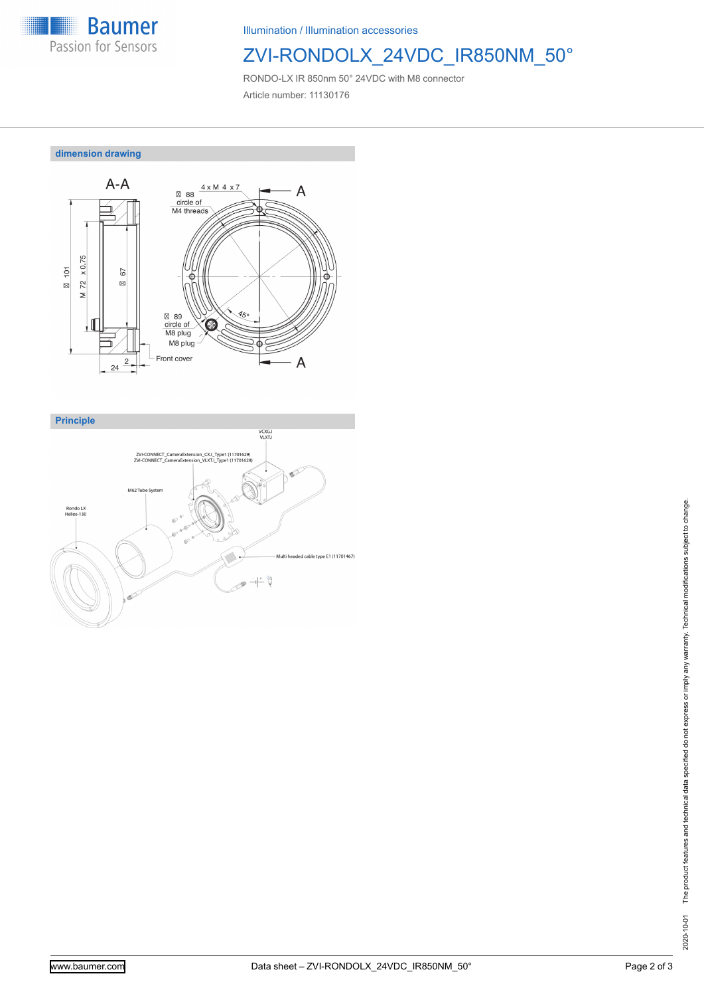

Illumination / Illumination accessories

## ZVI-RONDOLX\_24VDC\_IR850NM\_50°

RONDO-LX IR 850nm 50° 24VDC with M8 connector Article number: 11130176

**dimension drawing**